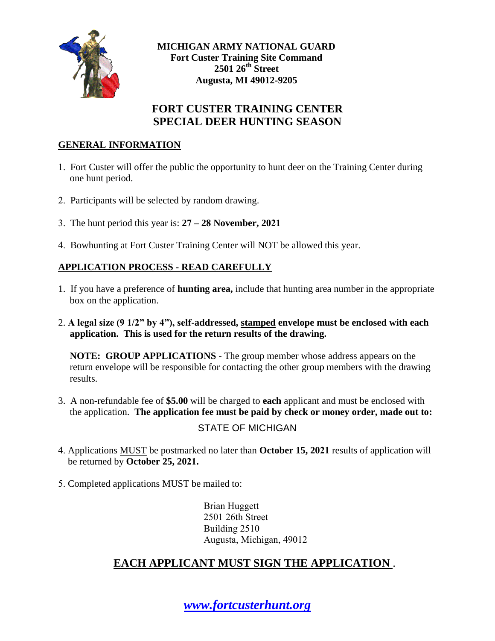

# **FORT CUSTER TRAINING CENTER SPECIAL DEER HUNTING SEASON**

### **GENERAL INFORMATION**

- 1. Fort Custer will offer the public the opportunity to hunt deer on the Training Center during one hunt period.
- 2. Participants will be selected by random drawing.
- 3. The hunt period this year is: **27 28 November, 2021**
- 4. Bowhunting at Fort Custer Training Center will NOT be allowed this year.

## **APPLICATION PROCESS - READ CAREFULLY**

- 1. If you have a preference of **hunting area,** include that hunting area number in the appropriate box on the application.
- 2. **A legal size (9 1/2" by 4"), self-addressed, stamped envelope must be enclosed with each application. This is used for the return results of the drawing.**

**NOTE: GROUP APPLICATIONS** - The group member whose address appears on the return envelope will be responsible for contacting the other group members with the drawing results.

3. A non-refundable fee of **\$5.00** will be charged to **each** applicant and must be enclosed with the application. **The application fee must be paid by check or money order, made out to:**

## STATE OF MICHIGAN

- 4. Applications MUST be postmarked no later than **October 15, 2021** results of application will be returned by **October 25, 2021.**
- 5. Completed applications MUST be mailed to:

Brian Huggett 2501 26th Street Building 2510 Augusta, Michigan, 49012

## **EACH APPLICANT MUST SIGN THE APPLICATION** .

*[www.fortcusterhunt.org](http://www.fortcusterhunt.org/)*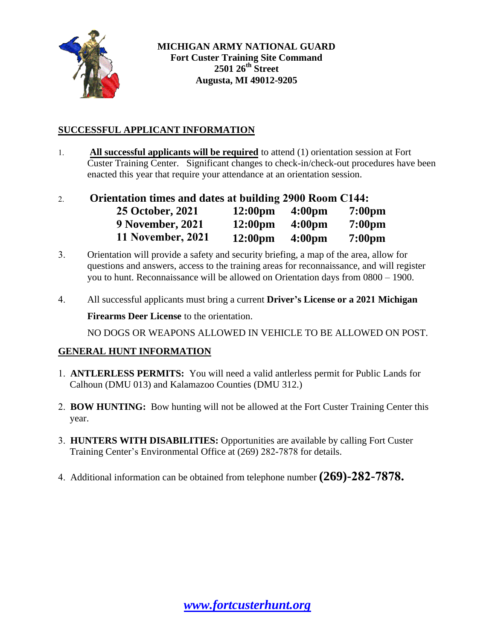

## **SUCCESSFUL APPLICANT INFORMATION**

1. **All successful applicants will be required** to attend (1) orientation session at Fort Custer Training Center. Significant changes to check-in/check-out procedures have been enacted this year that require your attendance at an orientation session.

| Orientation times and dates at building 2900 Room C144: |                   |                    |                  |
|---------------------------------------------------------|-------------------|--------------------|------------------|
| 25 October, 2021                                        | $12:00 \text{pm}$ | 4:00 <sub>pm</sub> | $7:00 \text{pm}$ |

| <b><i>LS</i></b> OCLODEL, <b><i>LOL</i></b> | 12.00 pm          | <b>4:VVPIII</b>    | <i>l</i> : <i>v v l</i> ill |
|---------------------------------------------|-------------------|--------------------|-----------------------------|
| 9 November, 2021                            | $12:00 \text{pm}$ | 4:00 <sub>pm</sub> | 7:00 <sub>pm</sub>          |
| <b>11 November, 2021</b>                    | $12:00 \text{pm}$ | 4:00 <sub>pm</sub> | 7:00 <sub>pm</sub>          |

- 3. Orientation will provide a safety and security briefing, a map of the area, allow for questions and answers, access to the training areas for reconnaissance, and will register you to hunt. Reconnaissance will be allowed on Orientation days from 0800 – 1900.
- 4. All successful applicants must bring a current **Driver's License or a 2021 Michigan**

**Firearms Deer License** to the orientation.

NO DOGS OR WEAPONS ALLOWED IN VEHICLE TO BE ALLOWED ON POST.

## **GENERAL HUNT INFORMATION**

- 1. **ANTLERLESS PERMITS:** You will need a valid antlerless permit for Public Lands for Calhoun (DMU 013) and Kalamazoo Counties (DMU 312.)
- 2. **BOW HUNTING:** Bow hunting will not be allowed at the Fort Custer Training Center this year.
- 3. **HUNTERS WITH DISABILITIES:** Opportunities are available by calling Fort Custer Training Center's Environmental Office at (269) 282-7878 for details.
- 4. Additional information can be obtained from telephone number **(269)-282-7878.**